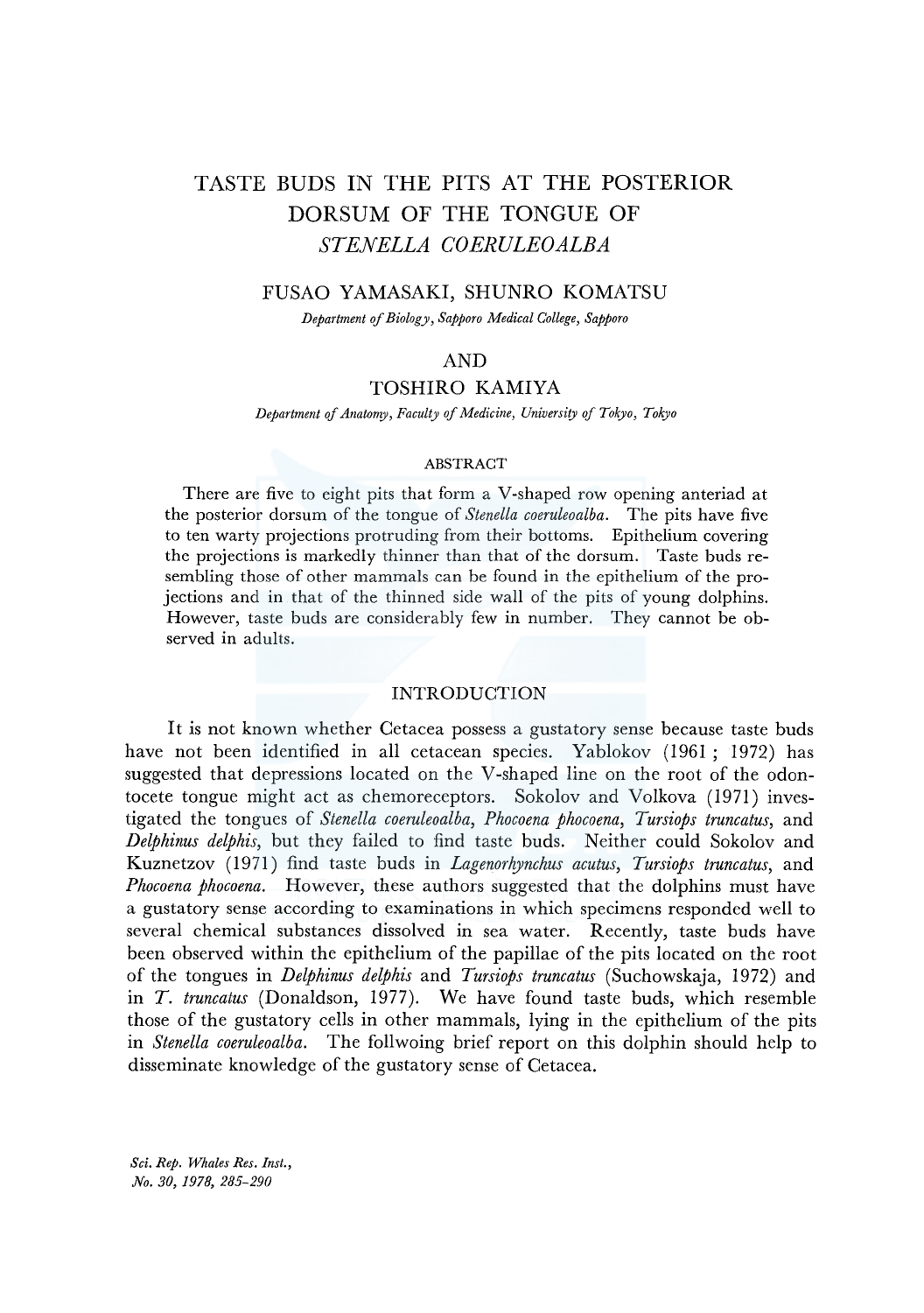# TASTE BUDS IN THE PITS AT THE POSTERIOR DORSUM OF THE TONGUE OF *STENELLA COERULEOALBA*

# FUSAO YAMASAKI, SHUNRO KOMATSU

*Department of Biology, Sapporo Medical College, Sapporo* 

## AND

# TOSHIRO KAMIYA

*Department of Anatonry, Faculty of Medicine, University of Tokyo, Tokyo* 

#### ABSTRACT

There are five to eight pits that form a V-shaped row opening anteriad at the posterior dorsum of the tongue of *Stenella coeruleoalba.* The pits have five to ten warty projections protruding from their bottoms. Epithelium covering the projections is markedly thinner than that of the dorsum. Taste buds resembling those of other mammals can be found in the epithelium of the projections and in that of the thinned side wall of the pits of young dolphins. However, taste buds are considerably few in number. They cannot be observed in adults.

### INTRODUCTION

It is not known whether Cetacea possess a gustatory sense because taste buds have not been identified in all cetacean species. Yablokov (1961 ; 1972) has suggested that depressions located on the V-shaped line on the root of the odontocete tongue might act as chemoreceptors. Sokolov and Volkova (1971) investigated the tongues of *Stenella coeruleoalba, Phocoena phocoena, Tursiops truncatus,* and *Delphinus delphis,* but they failed to find taste buds. Neither could Sokolov and Kuznetzov (1971) find taste buds in *Lagenorhynchus acutus, Tursiops truncatus,* and *Phocoena phocoena.* However, these authors suggested that the dolphins must have a gustatory sense according to examinations in which specimens responded well to several chemical substances dissolved in sea water. Recently, taste buds have been observed within the epithelium of the papillae of the pits located on the root of the tongues in *Delphinus delphis* and *Tursiops truncatus* (Suchowskaja, 1972) and in *T. truncatus* (Donaldson, 1977). We have found taste buds, which resemble those of the gustatory cells in other mammals, lying in the epithelium of the pits in *Stenella coeruleoalba.* The follwoing brief report on this dolphin should help to disseminate knowledge of the gustatory sense of Cetacea.

*Sci. Rep. Whales Res. Inst., No. 30, 1978, 285-290*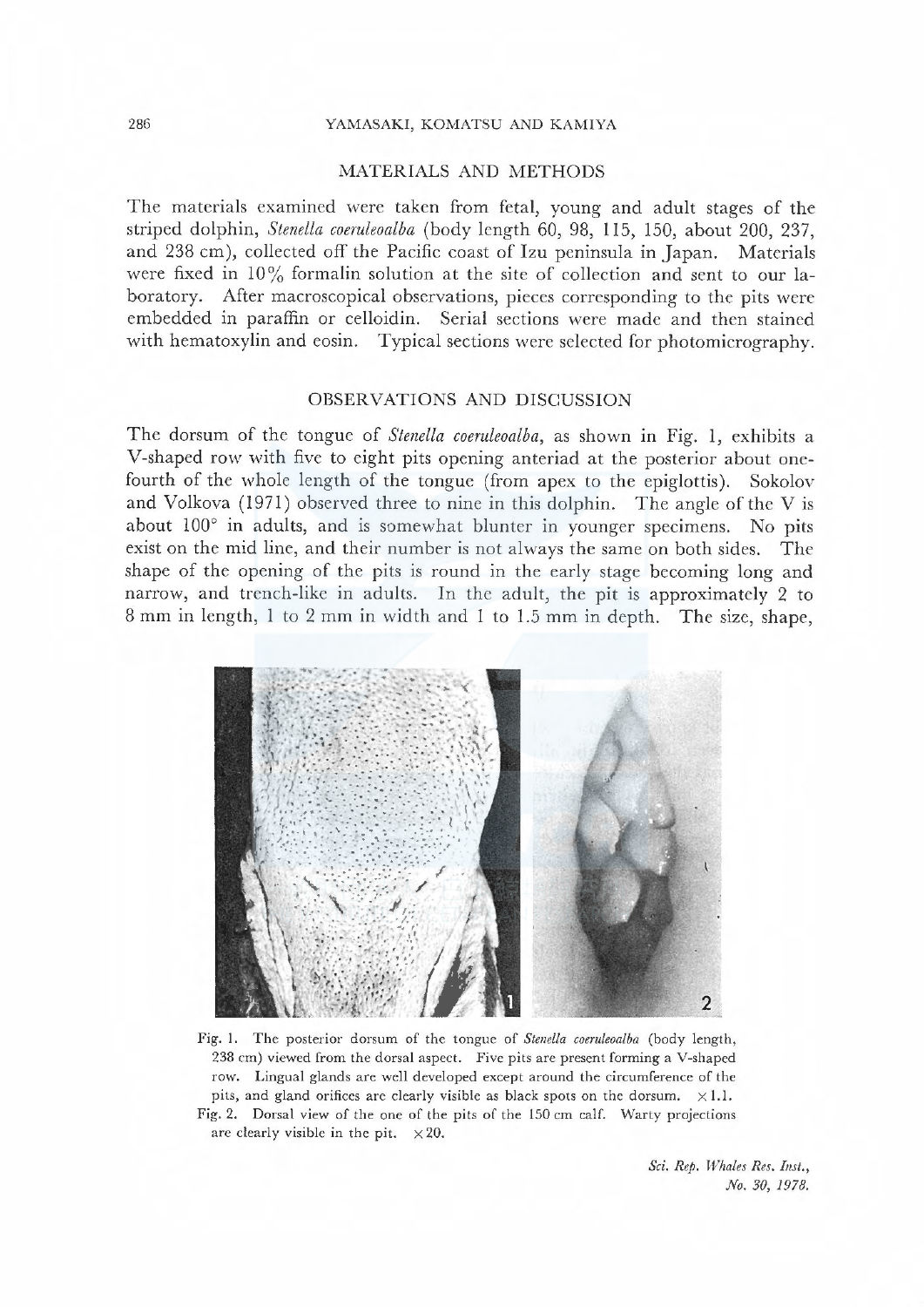#### 286 YAMASAKI, KOMATSU AND KAMIYA

#### MATERIALS AND METHODS

The materials examined were taken from fetal, young and adult stages of the striped dolphin, Stenella coeruleoalba (body length 60, 98, 115, 150, about 200, 237, and 238 cm), collected off the Pacific coast of Izu peninsula in Japan. Materials were fixed in  $10\%$  formalin solution at the site of collection and sent to our laboratory. After macroscopical observations, pieces corresponding to the pits were embedded in paraffin or celloidin. Serial seetions were made and then stained with hematoxylin and eosin. Typieal sections were selected for photomicrography.

## OBSERVATIONS AND DISCUSSION

The dorsum of the tongue of *Stenella coeruleoalba*, as shown in Fig. 1, exhibits a V-shaped row with five to eight pits opening anteriad at the posterior about onefourth of the whole length of the tongue (from apex to the epiglottis). Sokolov and Volkova ( 1971) observed three to nine in this dolphin. The angle of the V is about  $100^\circ$  in adults, and is somewhat blunter in younger specimens. No pits exist on the mid line, and their number is not always the same on both sides. The shape of the opening of the pits is round in the early stage becoming long and narrow, and trench-like in adults. In the adult, the pit is approximately 2 to 8 mm in length, 1 to 2 mm in width and l to 1.5 mm in depth. The size, shape,



Fig. 1. The posterior dorsum of the tongue of Stenella coeruleoalba (body length, <sup>238</sup>cm) viewed from the dorsal aspect. Five pits arc present forming a V-shapcd row. Lingual glands are well developed except around the circumference of the pits, and gland orifices are clearly visible as black spots on the dorsum.  $\times 1.1$ . Fig. 2. Dorsal view of the one of the pits of the 150 cm calf. Warty projections are clearly visible in the pit.  $\times 20$ .

Sci. Rep. Whales Res. Inst., No. 30, 1978.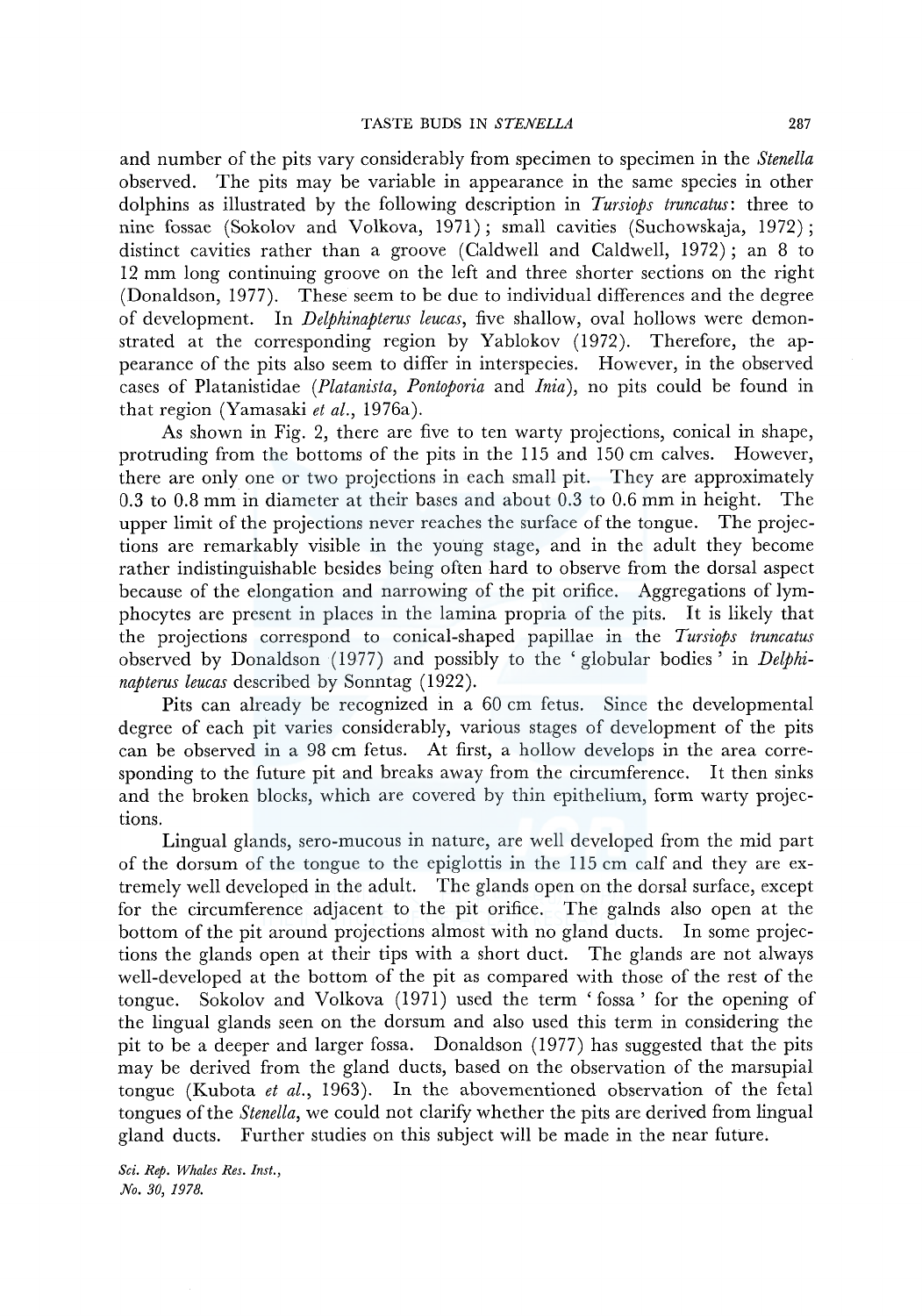and number of the pits vary considerably from specimen to specimen in the *Stenella*  observed. The pits may be variable in appearance in the same species in other dolphins as illustrated by the following description in *Tursiops truncatus:* three to nine fossae (Sokolov and Volkova, 1971); small cavities (Suchowskaja, 1972); distinct cavities rather than a groove (Caldwell and Caldwell, 1972); an 8 to 12 mm long continuing groove on the left and three shorter sections on the right (Donaldson, 1977). These seem to be due to individual differences and the degree of development. In *Delphinapterus leucas,* five shallow, oval hollows were demonstrated at the corresponding region by Yablokov (1972). Therefore, the appearance of the pits also seem to differ in interspecies. However, in the observed cases of Platanistidae *(Platanista, Pontoporia* and *Inia),* no pits could be found in that region (Yamasaki *et al.,* 1976a).

As shown in Fig. 2, there are five to ten warty projections, conical in shape, protruding from the bottoms of the pits in the 115 and 150 cm calves. However, there are only one or two projections in each small pit. They are approximately 0.3 to 0.8 mm in diameter at their bases and about 0.3 to 0.6 mm in height. The upper limit of the projections never reaches the surface of the tongue. The projections are remarkably visible in the young stage, and in the adult they become rather indistinguishable besides being often hard to observe from the dorsal aspect because of the elongation and narrowing of the pit orifice. Aggregations of lymphocytes are present in places in the lamina propria of the pits. It is likely that the projections correspond to conical-shaped papillae in the *Tursiops truncatus*  observed by Donaldson (1977) and possibly to the 'globular bodies' in *Delphinapterus leucas* described by Sonntag (1922).

Pits can already be recognized in a 60 cm fetus. Since the developmental degree of each pit varies considerably, various stages of development of the pits can be observed in a 98 cm fetus. At first, a hollow develops in the area corresponding to the future pit and breaks away from the circumference. It then sinks and the broken blocks, which are covered by thin epithelium, form warty projections.

Lingual glands, sero-mucous in nature, are well developed from the mid part of the dorsum of the tongue to the epiglottis in the 115 cm calf and they are extremely well developed in the adult. The glands open on the dorsal surface, except for the circumference adjacent to the pit orifice. The galnds also open at the bottom of the pit around projections almost with no gland ducts. In some projections the glands open at their tips with a short duct. The glands are not always well-developed at the bottom of the pit as compared with those of the rest of the tongue. Sokolov and Volkova (1971) used the term 'fossa' for the opening of the lingual glands seen on the dorsum and also used this term in considering the pit to be a deeper and larger fossa. Donaldson (1977) has suggested that the pits may be derived from the gland ducts, based on the observation of the marsupial tongue (Kubota *et al.,* 1963). In the abovementioned observation of the fetal tongues of the *Stenella,* we could not clarify whether the pits are derived from lingual gland ducts. Further studies on this subject will be made in the near future.

*Sci. Rep. Whales Res. Inst., No. 30, 1978.*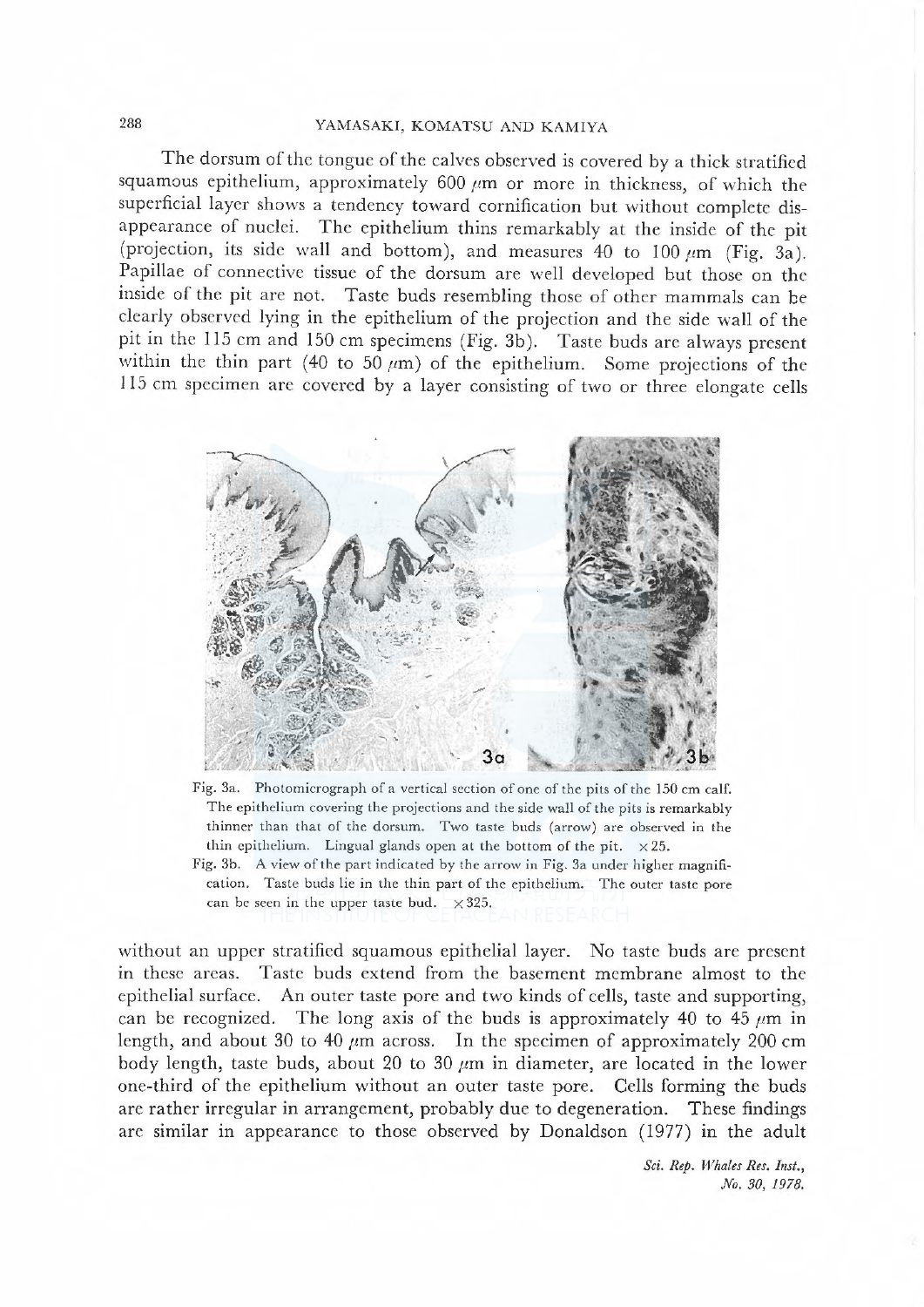# 288 YAMASAKI, KOMATSU AND KAMIYA

The dorsum of the tongue of the calves observed is covered by a thick stratified squamous epithelium, approximately 600 μm or more in thickness, of which the superficial layer shows a tendency toward cornification but without complete disappearance of nuclei. The epithelium thins remarkably at the inside of the pit (projection, its side wall and bottom), and measures 40 to 100  $\mu$ m (Fig. 3a). Papillae of connective tissue of the dorsum are well developed but those on thc insidc of thc pit are not. Taste buds resembling those of other mammals can be clcarly obscrved lying in the epithelium of the projection and the side wall of thc pit in the 115 cm and 150 cm specimens (Fig.  $3b$ ). Taste buds are always present within the thin part (40 to 50  $\mu$ m) of the epithelium. Some projections of the 115 cm specimen are covered by a layer consisting of two or three elongate cells



Fig. 3a. Photomicrograph of a vertical section of one of the pits of the ISO cm calf. The cpithclium covering the projections and the side wall of the pits is remarkably thinner than that of the dorsum. Two taste buds (arrow) are observed in the thin epithelium. Lingual glands open at the bottom of the pit.  $\times 25$ .

Fig. 3b. A view of the part indicated by the arrow in Fig. 3a under higher magnification. Taste buds lie in the thin part of the epithelium. The outer taste pore can be seen in the upper taste bud.  $\times 325$ .

without an upper stratified squamous epithelial layer. No taste buds are present in these areas. Taste buds extend from the basement membrane almost to the epithelial surface. An outer taste pore and two kinds of cells, taste and supporting, can be recognized. The long axis of the buds is approximately 40 to 45  $\mu$ m in length, and about 30 to 40  $\mu$ m across. In the specimen of approximately 200 cm body length, taste buds, about 20 to 30  $\mu$ m in diameter, are located in the lower one-third of the epithelium without an outer taste pore. Cells forming the buds are rather irregular in arrangement, probably due to degeneration. These findings are similar in appearance to those observed by Donaldson (1977) in the adult

> Sci. Rep. Whales Res. Inst., No. 30, 1978.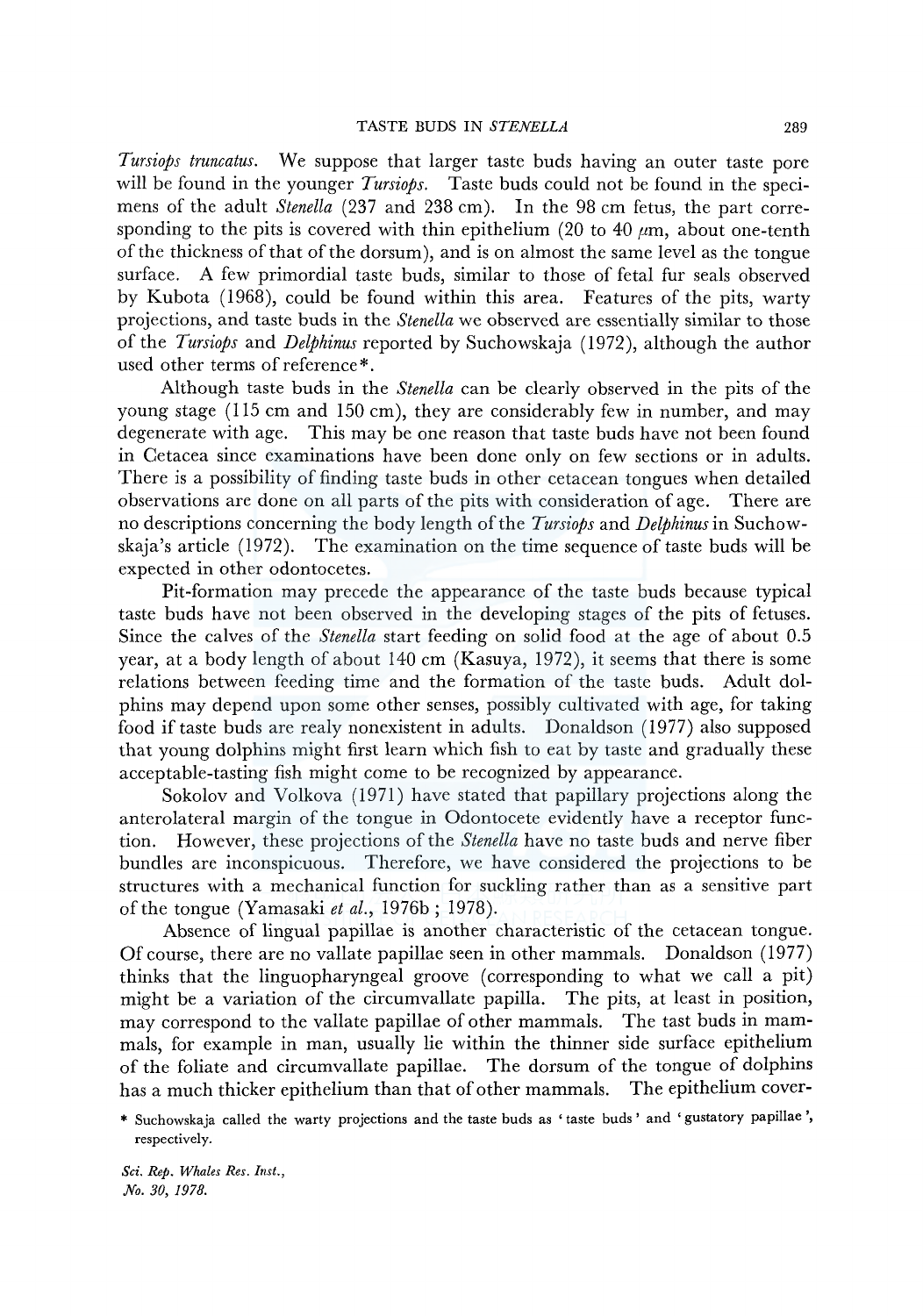*Tursiops truncatus.* We suppose that larger taste buds having an outer taste pore will be found in the younger *Tursiops.* Taste buds could not be found in the specimens of the adult *Stenella* (237 and 238 cm). In the 98 cm fetus, the part corresponding to the pits is covered with thin epithelium (20 to 40  $\mu$ m, about one-tenth of the thickness of that of the dorsum), and is on almost the same level as the tongue surface. A few primordial taste buds, similar to those of fetal fur seals observed by Kubota (1968), could be found within this area. Features of the pits, warty projections, and taste buds in the *Stenella* we observed are essentially similar to those of the *Tursiops* and *DeljJhinus* reported by Suchowskaja (1972), although the author used other terms of reference\*.

Although taste buds in the *Stenella* can be clearly observed in the pits of the young stage (115 cm and 150 cm), they are considerably few in number, and may degenerate with age. This may be one reason that taste buds have not been found in Cetacea since examinations have been done only on few sections or in adults. There is a possibility of finding taste buds in other cetacean tongues when detailed observations are done on all parts of the pits with consideration of age. There are no descriptions concerning the body length of the *Tursiops* and *Delphinus* in Suchowskaja's article (1972). The examination on the time sequence of taste buds will be expected in other odontocetes.

Pit-formation may precede the appearance of the taste buds because typical taste buds have not been observed in the developing stages of the pits of fetuses. Since the calves of the *Stenella* start feeding on solid food at the age of about 0.5 year, at a body length of about 140 cm (Kasuya, 1972), it seems that there is some relations between feeding time and the formation of the taste buds. Adult dolphins may depend upon some other senses, possibly cultivated with age, for taking food if taste buds are realy nonexistent in adults. Donaldson (1977) also supposed that young dolphins might first learn which fish to eat by taste and gradually these acceptable-tasting fish might come to be recognized by appearance.

Sokolov and Volkova (1971) have stated that papillary projections along the anterolateral margin of the tongue in Odontocete evidently have a receptor function. However, these projections of the *Stenella* have no taste buds and nerve fiber bundles are inconspicuous. Therefore, we have considered the projections to be structures with a mechanical function for suckling rather than as a sensitive part of the tongue (Yamasaki *et al.,* 1976b; 1978).

Absence of lingual papillae is another characteristic of the cetacean tongue. Of course, there are no vallate papillae seen in other mammals. Donaldson (1977) thinks that the linguopharyngeal groove (corresponding to what we call a pit) might be a variation of the circumvallate papilla. The pits, at least in position, may correspond to the vallate papillae of other mammals. The tast buds in mammals, for example in man, usually lie within the thinner side surface epithelium of the foliate and circumvallate papillae. The dorsum of the tongue of dolphins has a much thicker epithelium than that of other mammals. The epithelium cover-

\* Suchowskaja called the warty projections and the taste buds as 'taste buds' and 'gustatory papillae', respectively.

*Sci. Rep. Whales Res. Inst., No. 30, 1978.*